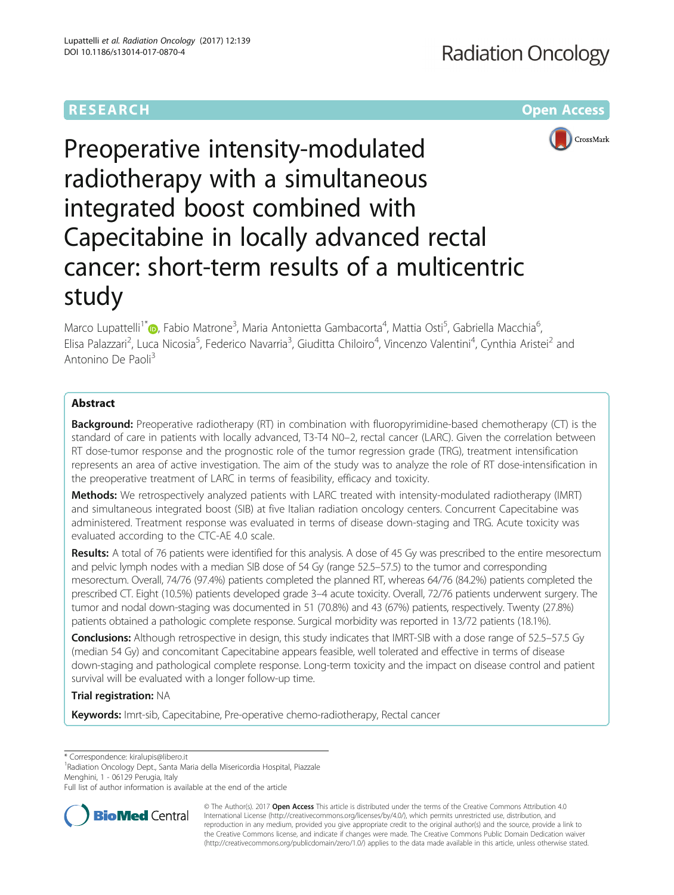# **RESEARCH CHEAR CHEAR CHEAR CHEAR CHEAR CHEAR CHEAR CHEAR CHEAR CHEAR CHEAR CHEAR CHEAR CHEAR CHEAR CHEAR CHEAR**



# Preoperative intensity-modulated radiotherapy with a simultaneous integrated boost combined with Capecitabine in locally advanced rectal cancer: short-term results of a multicentric study

Marco Lupattelli<sup>1\*</sup>�[,](http://orcid.org/0000-0002-5786-5959) Fabio Matrone<sup>3</sup>, Maria Antonietta Gambacorta<sup>4</sup>, Mattia Osti<sup>5</sup>, Gabriella Macchia<sup>6</sup> י<br>, Elisa Palazzari<sup>2</sup>, Luca Nicosia<sup>5</sup>, Federico Navarria<sup>3</sup>, Giuditta Chiloiro<sup>4</sup>, Vincenzo Valentini<sup>4</sup>, Cynthia Aristei<sup>2</sup> and Antonino De Paoli<sup>3</sup>

# Abstract

**Background:** Preoperative radiotherapy (RT) in combination with fluoropyrimidine-based chemotherapy (CT) is the standard of care in patients with locally advanced, T3-T4 N0–2, rectal cancer (LARC). Given the correlation between RT dose-tumor response and the prognostic role of the tumor regression grade (TRG), treatment intensification represents an area of active investigation. The aim of the study was to analyze the role of RT dose-intensification in the preoperative treatment of LARC in terms of feasibility, efficacy and toxicity.

Methods: We retrospectively analyzed patients with LARC treated with intensity-modulated radiotherapy (IMRT) and simultaneous integrated boost (SIB) at five Italian radiation oncology centers. Concurrent Capecitabine was administered. Treatment response was evaluated in terms of disease down-staging and TRG. Acute toxicity was evaluated according to the CTC-AE 4.0 scale.

Results: A total of 76 patients were identified for this analysis. A dose of 45 Gy was prescribed to the entire mesorectum and pelvic lymph nodes with a median SIB dose of 54 Gy (range 52.5–57.5) to the tumor and corresponding mesorectum. Overall, 74/76 (97.4%) patients completed the planned RT, whereas 64/76 (84.2%) patients completed the prescribed CT. Eight (10.5%) patients developed grade 3–4 acute toxicity. Overall, 72/76 patients underwent surgery. The tumor and nodal down-staging was documented in 51 (70.8%) and 43 (67%) patients, respectively. Twenty (27.8%) patients obtained a pathologic complete response. Surgical morbidity was reported in 13/72 patients (18.1%).

**Conclusions:** Although retrospective in design, this study indicates that IMRT-SIB with a dose range of 52.5–57.5 Gy (median 54 Gy) and concomitant Capecitabine appears feasible, well tolerated and effective in terms of disease down-staging and pathological complete response. Long-term toxicity and the impact on disease control and patient survival will be evaluated with a longer follow-up time.

Trial registration: NA

Keywords: Imrt-sib, Capecitabine, Pre-operative chemo-radiotherapy, Rectal cancer

\* Correspondence: [kiralupis@libero.it](mailto:kiralupis@libero.it) <sup>1</sup>

Radiation Oncology Dept., Santa Maria della Misericordia Hospital, Piazzale Menghini, 1 - 06129 Perugia, Italy

Full list of author information is available at the end of the article



© The Author(s). 2017 **Open Access** This article is distributed under the terms of the Creative Commons Attribution 4.0 International License [\(http://creativecommons.org/licenses/by/4.0/](http://creativecommons.org/licenses/by/4.0/)), which permits unrestricted use, distribution, and reproduction in any medium, provided you give appropriate credit to the original author(s) and the source, provide a link to the Creative Commons license, and indicate if changes were made. The Creative Commons Public Domain Dedication waiver [\(http://creativecommons.org/publicdomain/zero/1.0/](http://creativecommons.org/publicdomain/zero/1.0/)) applies to the data made available in this article, unless otherwise stated.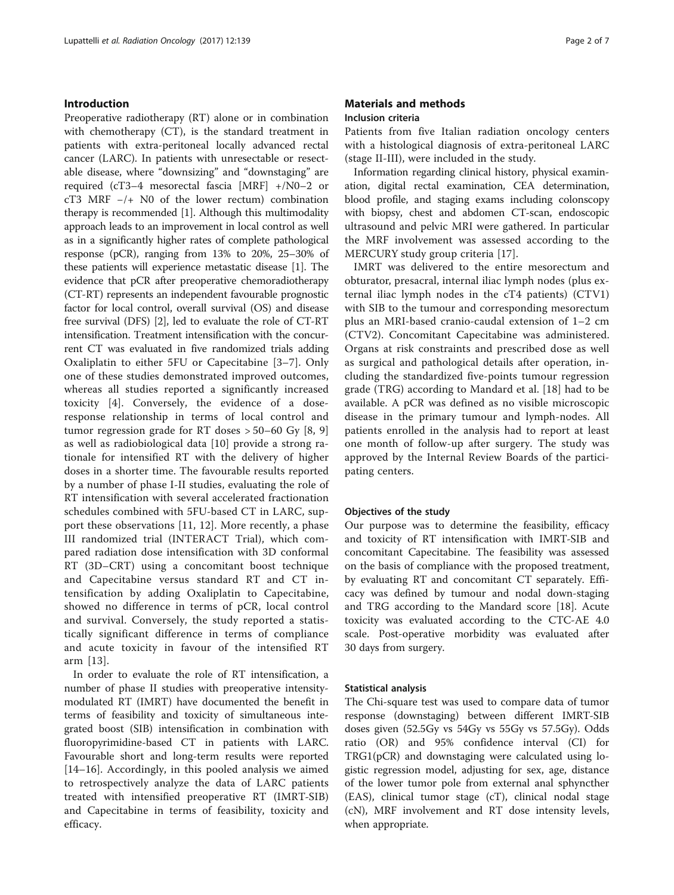# Introduction

Preoperative radiotherapy (RT) alone or in combination with chemotherapy (CT), is the standard treatment in patients with extra-peritoneal locally advanced rectal cancer (LARC). In patients with unresectable or resectable disease, where "downsizing" and "downstaging" are required (cT3–4 mesorectal fascia [MRF] +/N0–2 or cT3 MRF −/+ N0 of the lower rectum) combination therapy is recommended [[1\]](#page-6-0). Although this multimodality approach leads to an improvement in local control as well as in a significantly higher rates of complete pathological response (pCR), ranging from 13% to 20%, 25–30% of these patients will experience metastatic disease [[1\]](#page-6-0). The evidence that pCR after preoperative chemoradiotherapy (CT-RT) represents an independent favourable prognostic factor for local control, overall survival (OS) and disease free survival (DFS) [\[2](#page-6-0)], led to evaluate the role of CT-RT intensification. Treatment intensification with the concurrent CT was evaluated in five randomized trials adding Oxaliplatin to either 5FU or Capecitabine [[3](#page-6-0)–[7\]](#page-6-0). Only one of these studies demonstrated improved outcomes, whereas all studies reported a significantly increased toxicity [[4\]](#page-6-0). Conversely, the evidence of a doseresponse relationship in terms of local control and tumor regression grade for RT doses  $> 50-60$  Gy [[8, 9](#page-6-0)] as well as radiobiological data [[10\]](#page-6-0) provide a strong rationale for intensified RT with the delivery of higher doses in a shorter time. The favourable results reported by a number of phase I-II studies, evaluating the role of RT intensification with several accelerated fractionation schedules combined with 5FU-based CT in LARC, support these observations [[11, 12](#page-6-0)]. More recently, a phase III randomized trial (INTERACT Trial), which compared radiation dose intensification with 3D conformal RT (3D–CRT) using a concomitant boost technique and Capecitabine versus standard RT and CT intensification by adding Oxaliplatin to Capecitabine, showed no difference in terms of pCR, local control and survival. Conversely, the study reported a statistically significant difference in terms of compliance and acute toxicity in favour of the intensified RT arm [[13\]](#page-6-0).

In order to evaluate the role of RT intensification, a number of phase II studies with preoperative intensitymodulated RT (IMRT) have documented the benefit in terms of feasibility and toxicity of simultaneous integrated boost (SIB) intensification in combination with fluoropyrimidine-based CT in patients with LARC. Favourable short and long-term results were reported [[14](#page-6-0)–[16](#page-6-0)]. Accordingly, in this pooled analysis we aimed to retrospectively analyze the data of LARC patients treated with intensified preoperative RT (IMRT-SIB) and Capecitabine in terms of feasibility, toxicity and efficacy.

# Materials and methods Inclusion criteria

Patients from five Italian radiation oncology centers with a histological diagnosis of extra-peritoneal LARC (stage II-III), were included in the study.

Information regarding clinical history, physical examination, digital rectal examination, CEA determination, blood profile, and staging exams including colonscopy with biopsy, chest and abdomen CT-scan, endoscopic ultrasound and pelvic MRI were gathered. In particular the MRF involvement was assessed according to the MERCURY study group criteria [[17\]](#page-6-0).

IMRT was delivered to the entire mesorectum and obturator, presacral, internal iliac lymph nodes (plus external iliac lymph nodes in the cT4 patients) (CTV1) with SIB to the tumour and corresponding mesorectum plus an MRI-based cranio-caudal extension of 1–2 cm (CTV2). Concomitant Capecitabine was administered. Organs at risk constraints and prescribed dose as well as surgical and pathological details after operation, including the standardized five-points tumour regression grade (TRG) according to Mandard et al. [[18\]](#page-6-0) had to be available. A pCR was defined as no visible microscopic disease in the primary tumour and lymph-nodes. All patients enrolled in the analysis had to report at least one month of follow-up after surgery. The study was approved by the Internal Review Boards of the participating centers.

### Objectives of the study

Our purpose was to determine the feasibility, efficacy and toxicity of RT intensification with IMRT-SIB and concomitant Capecitabine. The feasibility was assessed on the basis of compliance with the proposed treatment, by evaluating RT and concomitant CT separately. Efficacy was defined by tumour and nodal down-staging and TRG according to the Mandard score [[18\]](#page-6-0). Acute toxicity was evaluated according to the CTC-AE 4.0 scale. Post-operative morbidity was evaluated after 30 days from surgery.

#### Statistical analysis

The Chi-square test was used to compare data of tumor response (downstaging) between different IMRT-SIB doses given (52.5Gy vs 54Gy vs 55Gy vs 57.5Gy). Odds ratio (OR) and 95% confidence interval (CI) for TRG1(pCR) and downstaging were calculated using logistic regression model, adjusting for sex, age, distance of the lower tumor pole from external anal sphyncther (EAS), clinical tumor stage (cT), clinical nodal stage (cN), MRF involvement and RT dose intensity levels, when appropriate.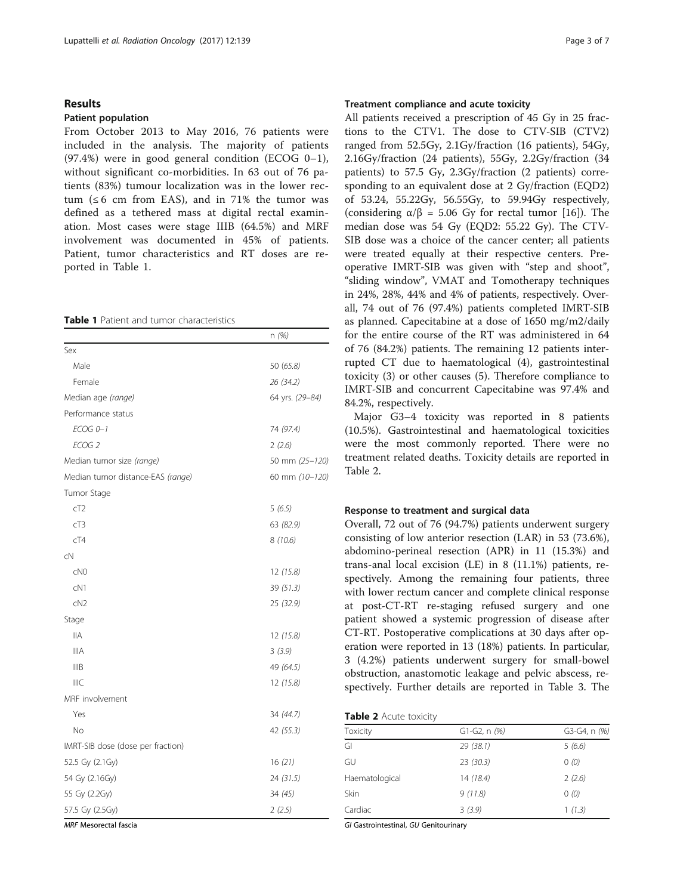# Results

#### Patient population

From October 2013 to May 2016, 76 patients were included in the analysis. The majority of patients (97.4%) were in good general condition (ECOG 0–1), without significant co-morbidities. In 63 out of 76 patients (83%) tumour localization was in the lower rectum  $(66 \text{ cm from EAS})$ , and in 71% the tumor was defined as a tethered mass at digital rectal examination. Most cases were stage IIIB (64.5%) and MRF involvement was documented in 45% of patients. Patient, tumor characteristics and RT doses are reported in Table 1.

## Table 1 Patient and tumor characteristics

|                                   | n (%)           |
|-----------------------------------|-----------------|
| Sex                               |                 |
| Male                              | 50 (65.8)       |
| Female                            | 26 (34.2)       |
| Median age (range)                | 64 yrs. (29-84) |
| Performance status                |                 |
| $ECOG$ $0-1$                      | 74 (97.4)       |
| ECOG <sub>2</sub>                 | 2(2.6)          |
| Median tumor size (range)         | 50 mm (25-120)  |
| Median tumor distance-EAS (range) | 60 mm (10-120)  |
| Tumor Stage                       |                 |
| cT2                               | 5(6.5)          |
| cT3                               | 63 (82.9)       |
| cT4                               | 8 (10.6)        |
| cN                                |                 |
| CNO                               | 12 (15.8)       |
| cN1                               | 39 (51.3)       |
| CN <sub>2</sub>                   | 25 (32.9)       |
| Stage                             |                 |
| <b>IIA</b>                        | 12 (15.8)       |
| <b>IIIA</b>                       | 3(3.9)          |
| <b>IIIB</b>                       | 49 (64.5)       |
| <b>IIIC</b>                       | 12 (15.8)       |
| MRF involvement                   |                 |
| Yes                               | 34 (44.7)       |
| <b>No</b>                         | 42 (55.3)       |
| IMRT-SIB dose (dose per fraction) |                 |
| 52.5 Gy (2.1Gy)                   | 16(21)          |
| 54 Gy (2.16Gy)                    | 24 (31.5)       |
| 55 Gy (2.2Gy)                     | 34 (45)         |
| 57.5 Gy (2.5Gy)                   | 2(2.5)          |

# Treatment compliance and acute toxicity

All patients received a prescription of 45 Gy in 25 fractions to the CTV1. The dose to CTV-SIB (CTV2) ranged from 52.5Gy, 2.1Gy/fraction (16 patients), 54Gy, 2.16Gy/fraction (24 patients), 55Gy, 2.2Gy/fraction (34 patients) to 57.5 Gy, 2.3Gy/fraction (2 patients) corresponding to an equivalent dose at 2 Gy/fraction (EQD2) of 53.24, 55.22Gy, 56.55Gy, to 59.94Gy respectively, (considering  $\alpha/\beta = 5.06$  Gy for rectal tumor [[16\]](#page-6-0)). The median dose was 54 Gy (EQD2: 55.22 Gy). The CTV-SIB dose was a choice of the cancer center; all patients were treated equally at their respective centers. Preoperative IMRT-SIB was given with "step and shoot", "sliding window", VMAT and Tomotherapy techniques in 24%, 28%, 44% and 4% of patients, respectively. Overall, 74 out of 76 (97.4%) patients completed IMRT-SIB as planned. Capecitabine at a dose of 1650 mg/m2/daily for the entire course of the RT was administered in 64 of 76 (84.2%) patients. The remaining 12 patients interrupted CT due to haematological (4), gastrointestinal toxicity (3) or other causes (5). Therefore compliance to IMRT-SIB and concurrent Capecitabine was 97.4% and 84.2%, respectively.

Major G3–4 toxicity was reported in 8 patients (10.5%). Gastrointestinal and haematological toxicities were the most commonly reported. There were no treatment related deaths. Toxicity details are reported in Table 2.

# Response to treatment and surgical data

Overall, 72 out of 76 (94.7%) patients underwent surgery consisting of low anterior resection (LAR) in 53 (73.6%), abdomino-perineal resection (APR) in 11 (15.3%) and trans-anal local excision (LE) in 8 (11.1%) patients, respectively. Among the remaining four patients, three with lower rectum cancer and complete clinical response at post-CT-RT re-staging refused surgery and one patient showed a systemic progression of disease after CT-RT. Postoperative complications at 30 days after operation were reported in 13 (18%) patients. In particular, 3 (4.2%) patients underwent surgery for small-bowel obstruction, anastomotic leakage and pelvic abscess, respectively. Further details are reported in Table [3.](#page-3-0) The

| Table 2 Acute toxicity |  |  |  |  |
|------------------------|--|--|--|--|
|------------------------|--|--|--|--|

| Toxicity       | $G1-G2, n$ $(%)$ | G3-G4, n (%) |
|----------------|------------------|--------------|
| GI             | 29(38.1)         | 5(6.6)       |
| GU             | 23(30.3)         | 0(0)         |
| Haematological | 14(18.4)         | 2(2.6)       |
| Skin           | 9(11.8)          | 0(0)         |
| Cardiac        | 3(3.9)           | 1(1.3)       |

MRF Mesorectal fascia

GI Gastrointestinal, GU Genitourinary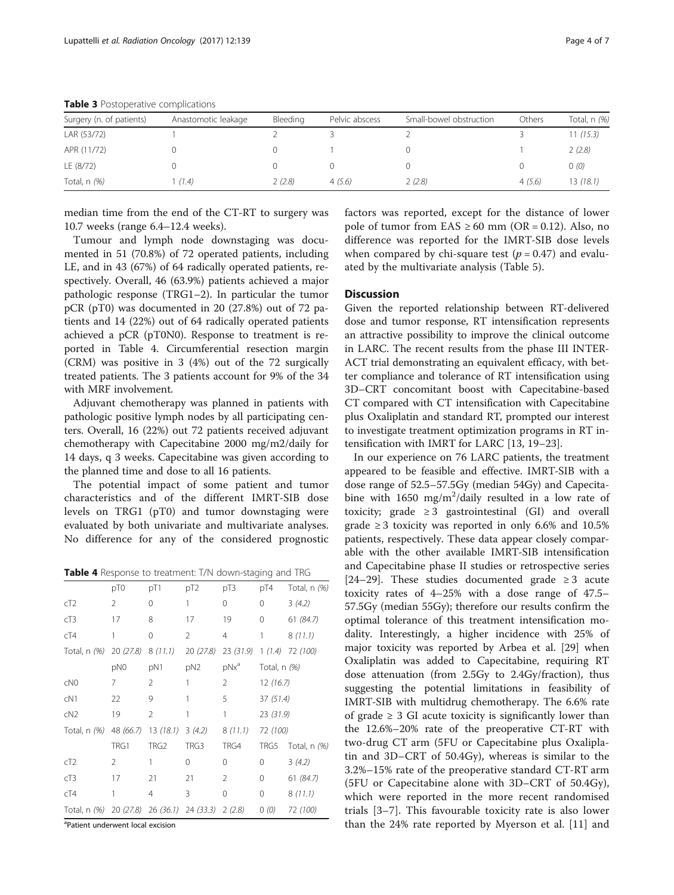| Surgery (n. of patients) | Anastomotic leakage | Bleeding | Pelvic abscess | Small-bowel obstruction | Others | Total, n (%) |
|--------------------------|---------------------|----------|----------------|-------------------------|--------|--------------|
| LAR (53/72)              |                     |          |                |                         |        | 11 (15.3)    |
| APR (11/72)              |                     |          |                |                         |        | 2(2.8)       |
| LE (8/72)                |                     |          |                |                         |        | 0(0)         |
| Total, $n$ $(%)$         | (1.4)               | 2(2.8)   | 4(5.6)         | 2(2.8)                  | 4(5.6) | 13(18.1)     |

<span id="page-3-0"></span>Table 3 Postoperative complications

median time from the end of the CT-RT to surgery was 10.7 weeks (range 6.4–12.4 weeks).

Tumour and lymph node downstaging was documented in 51 (70.8%) of 72 operated patients, including LE, and in 43 (67%) of 64 radically operated patients, respectively. Overall, 46 (63.9%) patients achieved a major pathologic response (TRG1–2). In particular the tumor pCR (pT0) was documented in 20 (27.8%) out of 72 patients and 14 (22%) out of 64 radically operated patients achieved a pCR (pT0N0). Response to treatment is reported in Table 4. Circumferential resection margin (CRM) was positive in 3 (4%) out of the 72 surgically treated patients. The 3 patients account for 9% of the 34 with MRF involvement.

Adjuvant chemotherapy was planned in patients with pathologic positive lymph nodes by all participating centers. Overall, 16 (22%) out 72 patients received adjuvant chemotherapy with Capecitabine 2000 mg/m2/daily for 14 days, q 3 weeks. Capecitabine was given according to the planned time and dose to all 16 patients.

The potential impact of some patient and tumor characteristics and of the different IMRT-SIB dose levels on TRG1 (pT0) and tumor downstaging were evaluated by both univariate and multivariate analyses. No difference for any of the considered prognostic

Table 4 Response to treatment: T/N down-staging and TRG

|                     | pT0       | pT1              | pT <sub>2</sub>      | pT3            | pT4          | Total, n (%)      |  |
|---------------------|-----------|------------------|----------------------|----------------|--------------|-------------------|--|
|                     |           |                  |                      |                |              |                   |  |
| cT2                 | 2         | 0                | 1                    | 0              | 0            | 3(4.2)            |  |
| cT3                 | 17        | 8                | 17                   | 19             | 0            | 61 (84.7)         |  |
| cT4                 | 1         | 0                | 2                    | $\overline{4}$ | 1            | 8(11.1)           |  |
| Total, n <i>(%)</i> | 20 (27.8) | 8(11.1)          | 20(27.8)             | 23(31.9)       | 1(1.4)       | 72 (100)          |  |
|                     | pN0       | pN1              | pN <sub>2</sub>      | $pNx^a$        | Total, n (%) |                   |  |
| cN <sub>0</sub>     | 7         | 2                | 1                    | 2              | 12(16.7)     |                   |  |
| cN1                 | 22        | 9                | 1                    | 5              | 37(51.4)     |                   |  |
| cN2                 | 19        | $\overline{2}$   | 1                    | 1              | 23(31.9)     |                   |  |
| Total, n <i>(%)</i> | 48 (66.7) | 13(18.1)         | 3(4.2)               | 8(11.1)        | 72 (100)     |                   |  |
|                     | TRG1      | TRG <sub>2</sub> | TRG3                 | TRG4           | TRG5         | Total, $n$ $(\%)$ |  |
| cT2                 | 2         | 1                | $\Omega$             | $\Omega$       | $\Omega$     | 3(4.2)            |  |
| cT3                 | 17        | 21               | 21                   | 2              | $\Omega$     | 61 (84.7)         |  |
| cT4                 | 1         | $\overline{4}$   | 3                    | 0              | 0            | 8(11.1)           |  |
| Total, n $(%)$      | 20 (27.8) |                  | $26(36.1)$ 24 (33.3) | 2(2.8)         | 0(0)         | 72 (100)          |  |
|                     |           |                  |                      |                |              |                   |  |

<sup>a</sup>Patient underwent local excision

factors was reported, except for the distance of lower pole of tumor from  $EAS \ge 60$  mm ( $OR = 0.12$ ). Also, no difference was reported for the IMRT-SIB dose levels when compared by chi-square test ( $p = 0.47$ ) and evaluated by the multivariate analysis (Table [5\)](#page-4-0).

# **Discussion**

Given the reported relationship between RT-delivered dose and tumor response, RT intensification represents an attractive possibility to improve the clinical outcome in LARC. The recent results from the phase III INTER-ACT trial demonstrating an equivalent efficacy, with better compliance and tolerance of RT intensification using 3D–CRT concomitant boost with Capecitabine-based CT compared with CT intensification with Capecitabine plus Oxaliplatin and standard RT, prompted our interest to investigate treatment optimization programs in RT intensification with IMRT for LARC [[13](#page-6-0), [19](#page-6-0)–[23](#page-6-0)].

In our experience on 76 LARC patients, the treatment appeared to be feasible and effective. IMRT-SIB with a dose range of 52.5–57.5Gy (median 54Gy) and Capecitabine with  $1650 \text{ mg/m}^2/\text{daily resulted}$  in a low rate of toxicity; grade  $\geq 3$  gastrointestinal (GI) and overall grade  $\geq$  3 toxicity was reported in only 6.6% and 10.5% patients, respectively. These data appear closely comparable with the other available IMRT-SIB intensification and Capecitabine phase II studies or retrospective series [[24](#page-6-0)–[29](#page-6-0)]. These studies documented grade  $\geq$  3 acute toxicity rates of 4–25% with a dose range of 47.5– 57.5Gy (median 55Gy); therefore our results confirm the optimal tolerance of this treatment intensification modality. Interestingly, a higher incidence with 25% of major toxicity was reported by Arbea et al. [\[29\]](#page-6-0) when Oxaliplatin was added to Capecitabine, requiring RT dose attenuation (from 2.5Gy to 2.4Gy/fraction), thus suggesting the potential limitations in feasibility of IMRT-SIB with multidrug chemotherapy. The 6.6% rate of grade  $\geq$  3 GI acute toxicity is significantly lower than the 12.6%–20% rate of the preoperative CT-RT with two-drug CT arm (5FU or Capecitabine plus Oxaliplatin and 3D–CRT of 50.4Gy), whereas is similar to the 3.2%–15% rate of the preoperative standard CT-RT arm (5FU or Capecitabine alone with 3D–CRT of 50.4Gy), which were reported in the more recent randomised trials [[3](#page-6-0)–[7\]](#page-6-0). This favourable toxicity rate is also lower than the 24% rate reported by Myerson et al. [\[11](#page-6-0)] and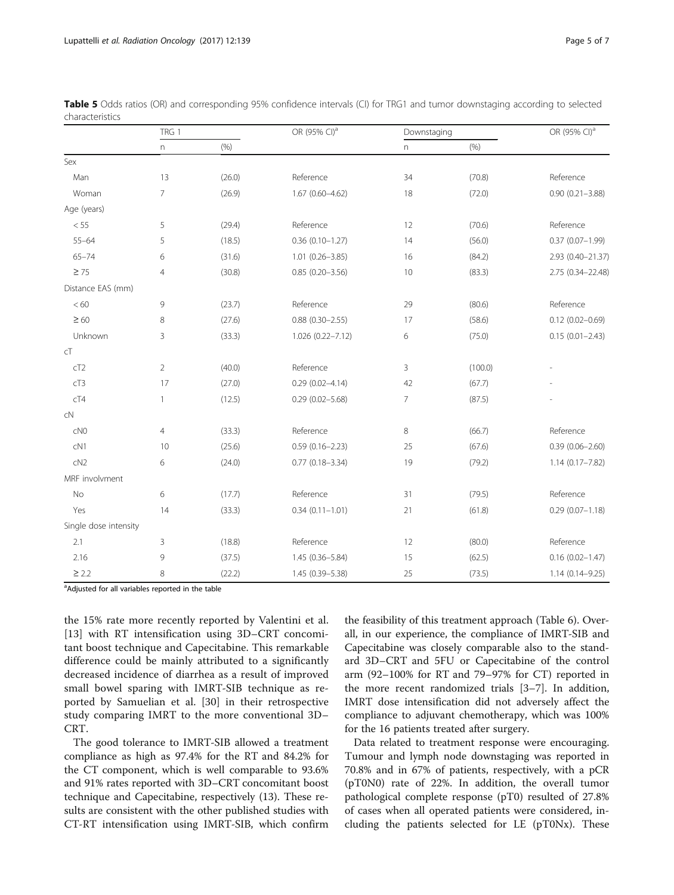|                       | TRG 1          |        | OR (95% CI) <sup>a</sup> | Downstaging    |         | OR (95% CI) <sup>a</sup> |  |
|-----------------------|----------------|--------|--------------------------|----------------|---------|--------------------------|--|
|                       | $\overline{n}$ | (% )   |                          | n              | (% )    |                          |  |
| Sex                   |                |        |                          |                |         |                          |  |
| Man                   | 13             | (26.0) | Reference                | 34             | (70.8)  | Reference                |  |
| Woman                 | $\overline{7}$ | (26.9) | $1.67(0.60 - 4.62)$      | 18             | (72.0)  | $0.90(0.21 - 3.88)$      |  |
| Age (years)           |                |        |                          |                |         |                          |  |
| $<55\,$               | 5              | (29.4) | Reference                | 12             | (70.6)  | Reference                |  |
| $55 - 64$             | 5              | (18.5) | $0.36(0.10 - 1.27)$      | 14             | (56.0)  | $0.37(0.07 - 1.99)$      |  |
| $65 - 74$             | 6              | (31.6) | $1.01(0.26 - 3.85)$      | 16             | (84.2)  | 2.93 (0.40-21.37)        |  |
| $\geq 75$             | $\overline{4}$ | (30.8) | $0.85(0.20 - 3.56)$      | 10             | (83.3)  | 2.75 (0.34-22.48)        |  |
| Distance EAS (mm)     |                |        |                          |                |         |                          |  |
| $< 60$                | 9              | (23.7) | Reference                | 29             | (80.6)  | Reference                |  |
| $\geq 60$             | 8              | (27.6) | $0.88(0.30 - 2.55)$      | 17             | (58.6)  | $0.12(0.02 - 0.69)$      |  |
| Unknown               | 3              | (33.3) | 1.026 (0.22-7.12)        | 6              | (75.0)  | $0.15(0.01 - 2.43)$      |  |
| cT                    |                |        |                          |                |         |                          |  |
| cT2                   | $\overline{2}$ | (40.0) | Reference                | 3              | (100.0) |                          |  |
| cT3                   | 17             | (27.0) | $0.29(0.02 - 4.14)$      | 42             | (67.7)  |                          |  |
| cT4                   | $\mathbf{1}$   | (12.5) | $0.29(0.02 - 5.68)$      | $\overline{7}$ | (87.5)  |                          |  |
| cN                    |                |        |                          |                |         |                          |  |
| CNO                   | $\overline{4}$ | (33.3) | Reference                | 8              | (66.7)  | Reference                |  |
| CN1                   | 10             | (25.6) | $0.59(0.16 - 2.23)$      | 25             | (67.6)  | $0.39(0.06 - 2.60)$      |  |
| cN2                   | 6              | (24.0) | $0.77(0.18 - 3.34)$      | 19             | (79.2)  | $1.14(0.17 - 7.82)$      |  |
| MRF involvment        |                |        |                          |                |         |                          |  |
| No                    | 6              | (17.7) | Reference                | 31             | (79.5)  | Reference                |  |
| Yes                   | 14             | (33.3) | $0.34(0.11 - 1.01)$      | 21             | (61.8)  | $0.29(0.07 - 1.18)$      |  |
| Single dose intensity |                |        |                          |                |         |                          |  |
| 2.1                   | 3              | (18.8) | Reference                | 12             | (80.0)  | Reference                |  |
| 2.16                  | 9              | (37.5) | $1.45(0.36 - 5.84)$      | 15             | (62.5)  | $0.16(0.02 - 1.47)$      |  |
| $\geq$ 2.2            | 8              | (22.2) | 1.45 (0.39-5.38)         | 25             | (73.5)  | $1.14(0.14 - 9.25)$      |  |

<span id="page-4-0"></span>Table 5 Odds ratios (OR) and corresponding 95% confidence intervals (CI) for TRG1 and tumor downstaging according to selected characteristics

<sup>a</sup>Adjusted for all variables reported in the table

the 15% rate more recently reported by Valentini et al. [[13\]](#page-6-0) with RT intensification using 3D–CRT concomitant boost technique and Capecitabine. This remarkable difference could be mainly attributed to a significantly decreased incidence of diarrhea as a result of improved small bowel sparing with IMRT-SIB technique as reported by Samuelian et al. [\[30](#page-6-0)] in their retrospective study comparing IMRT to the more conventional 3D– CRT.

The good tolerance to IMRT-SIB allowed a treatment compliance as high as 97.4% for the RT and 84.2% for the CT component, which is well comparable to 93.6% and 91% rates reported with 3D–CRT concomitant boost technique and Capecitabine, respectively (13). These results are consistent with the other published studies with CT-RT intensification using IMRT-SIB, which confirm

the feasibility of this treatment approach (Table [6\)](#page-5-0). Overall, in our experience, the compliance of IMRT-SIB and Capecitabine was closely comparable also to the standard 3D–CRT and 5FU or Capecitabine of the control arm (92–100% for RT and 79–97% for CT) reported in the more recent randomized trials [[3](#page-6-0)–[7](#page-6-0)]. In addition, IMRT dose intensification did not adversely affect the compliance to adjuvant chemotherapy, which was 100% for the 16 patients treated after surgery.

Data related to treatment response were encouraging. Tumour and lymph node downstaging was reported in 70.8% and in 67% of patients, respectively, with a pCR (pT0N0) rate of 22%. In addition, the overall tumor pathological complete response (pT0) resulted of 27.8% of cases when all operated patients were considered, including the patients selected for LE (pT0Nx). These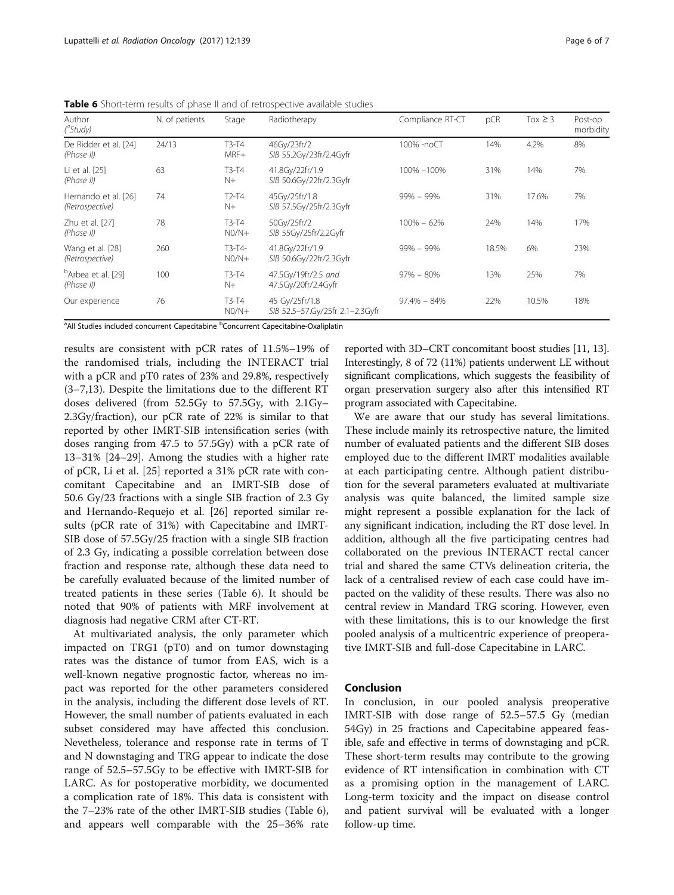| Author<br>$(^a$ Study)                       | N. of patients | Stage               | Radiotherapy                                      | Compliance RT-CT | pCR   | $Tox \geq 3$ | Post-op<br>morbidity |
|----------------------------------------------|----------------|---------------------|---------------------------------------------------|------------------|-------|--------------|----------------------|
| De Ridder et al. [24]<br>(Phase II)          | 24/13          | $T3-T4$<br>MRF+     | 46Gy/23fr/2<br>SIB 55.2Gy/23fr/2.4Gyfr            | 100% -noCT       | 14%   | 4.2%         | 8%                   |
| Li et al. [25]<br>(Phase II)                 | 63             | $T3-T4$<br>$N+$     | 41.8Gy/22fr/1.9<br>SIB 50.6Gy/22fr/2.3Gyfr        | 100% -100%       | 31%   | 14%          | 7%                   |
| Hernando et al. [26]<br>(Retrospective)      | 74             | $T2-T4$<br>$N+$     | 45Gy/25fr/1.8<br>SIB 57.5Gy/25fr/2.3Gyfr          | $99\% - 99\%$    | 31%   | 17.6%        | 7%                   |
| Zhu et al. [27]<br>(Phase II)                | 78             | $T3-T4$<br>$N0/N+$  | 50Gy/25fr/2<br>SIB 55Gy/25fr/2.2Gyfr              | $100\% - 62\%$   | 24%   | 14%          | 17%                  |
| Wang et al. [28]<br>(Retrospective)          | 260            | $T3-T4-$<br>$N0/N+$ | 41.8Gy/22fr/1.9<br>SIB 50.6Gy/22fr/2.3Gyfr        | $99\% - 99\%$    | 18.5% | 6%           | 23%                  |
| <sup>b</sup> Arbea et al. [29]<br>(Phase II) | 100            | $T3-T4$<br>$N+$     | 47.5Gy/19fr/2.5 and<br>47.5Gy/20fr/2.4Gyfr        | $97\% - 80\%$    | 13%   | 25%          | 7%                   |
| Our experience                               | 76             | $T3-T4$<br>$N0/N+$  | 45 Gy/25fr/1.8<br>SIB 52.5-57.Gy/25fr 2.1-2.3Gyfr | $97.4\% - 84\%$  | 22%   | 10.5%        | 18%                  |

<span id="page-5-0"></span>Table 6 Short-term results of phase II and of retrospective available studies

<sup>a</sup> All Studies included concurrent Capecitabine <sup>b</sup>Concurrent Capecitabine-Oxaliplatin

results are consistent with pCR rates of 11.5%–19% of the randomised trials, including the INTERACT trial with a pCR and pT0 rates of 23% and 29.8%, respectively (3–7,13). Despite the limitations due to the different RT doses delivered (from 52.5Gy to 57.5Gy, with 2.1Gy– 2.3Gy/fraction), our pCR rate of 22% is similar to that reported by other IMRT-SIB intensification series (with doses ranging from 47.5 to 57.5Gy) with a pCR rate of 13–31% [\[24](#page-6-0)–[29\]](#page-6-0). Among the studies with a higher rate of pCR, Li et al. [\[25\]](#page-6-0) reported a 31% pCR rate with concomitant Capecitabine and an IMRT-SIB dose of 50.6 Gy/23 fractions with a single SIB fraction of 2.3 Gy and Hernando-Requejo et al. [[26\]](#page-6-0) reported similar results (pCR rate of 31%) with Capecitabine and IMRT-SIB dose of 57.5Gy/25 fraction with a single SIB fraction of 2.3 Gy, indicating a possible correlation between dose fraction and response rate, although these data need to be carefully evaluated because of the limited number of treated patients in these series (Table 6). It should be noted that 90% of patients with MRF involvement at diagnosis had negative CRM after CT-RT.

At multivariated analysis, the only parameter which impacted on TRG1 (pT0) and on tumor downstaging rates was the distance of tumor from EAS, wich is a well-known negative prognostic factor, whereas no impact was reported for the other parameters considered in the analysis, including the different dose levels of RT. However, the small number of patients evaluated in each subset considered may have affected this conclusion. Nevetheless, tolerance and response rate in terms of T and N downstaging and TRG appear to indicate the dose range of 52.5–57.5Gy to be effective with IMRT-SIB for LARC. As for postoperative morbidity, we documented a complication rate of 18%. This data is consistent with the 7–23% rate of the other IMRT-SIB studies (Table 6), and appears well comparable with the 25–36% rate reported with 3D–CRT concomitant boost studies [\[11](#page-6-0), [13](#page-6-0)]. Interestingly, 8 of 72 (11%) patients underwent LE without significant complications, which suggests the feasibility of organ preservation surgery also after this intensified RT program associated with Capecitabine.

We are aware that our study has several limitations. These include mainly its retrospective nature, the limited number of evaluated patients and the different SIB doses employed due to the different IMRT modalities available at each participating centre. Although patient distribution for the several parameters evaluated at multivariate analysis was quite balanced, the limited sample size might represent a possible explanation for the lack of any significant indication, including the RT dose level. In addition, although all the five participating centres had collaborated on the previous INTERACT rectal cancer trial and shared the same CTVs delineation criteria, the lack of a centralised review of each case could have impacted on the validity of these results. There was also no central review in Mandard TRG scoring. However, even with these limitations, this is to our knowledge the first pooled analysis of a multicentric experience of preoperative IMRT-SIB and full-dose Capecitabine in LARC.

# Conclusion

In conclusion, in our pooled analysis preoperative IMRT-SIB with dose range of 52.5–57.5 Gy (median 54Gy) in 25 fractions and Capecitabine appeared feasible, safe and effective in terms of downstaging and pCR. These short-term results may contribute to the growing evidence of RT intensification in combination with CT as a promising option in the management of LARC. Long-term toxicity and the impact on disease control and patient survival will be evaluated with a longer follow-up time.